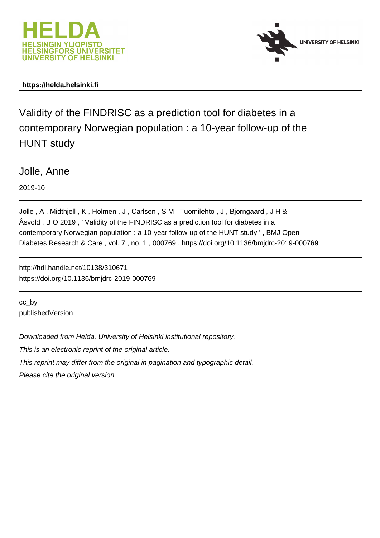



## **https://helda.helsinki.fi**

Validity of the FINDRISC as a prediction tool for diabetes in a contemporary Norwegian population : a 10-year follow-up of the HUNT study

Jolle, Anne

2019-10

Jolle, A, Midthjell, K, Holmen, J, Carlsen, SM, Tuomilehto, J, Bjorngaard, JH& Åsvold , B O 2019 , ' Validity of the FINDRISC as a prediction tool for diabetes in a contemporary Norwegian population : a 10-year follow-up of the HUNT study ' , BMJ Open Diabetes Research & Care , vol. 7 , no. 1 , 000769 . https://doi.org/10.1136/bmjdrc-2019-000769

http://hdl.handle.net/10138/310671 https://doi.org/10.1136/bmjdrc-2019-000769

cc\_by publishedVersion

Downloaded from Helda, University of Helsinki institutional repository.

This is an electronic reprint of the original article.

This reprint may differ from the original in pagination and typographic detail.

Please cite the original version.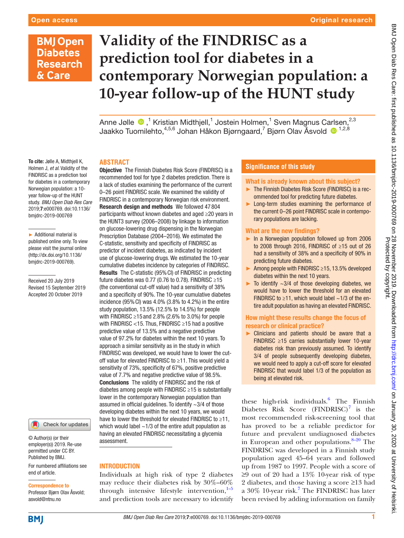# **BMJ Open Diabetes Research** & Care

# **Validity of the FINDRISC as a prediction tool for diabetes in a contemporary Norwegian population: a 10-year follow-up of the HUNT study**

Anne Jølle  $\bullet$  ,<sup>1</sup> Kristian Midthjell,<sup>1</sup> Jostein Holmen,<sup>1</sup> Sven Magnus Carlsen,<sup>2,3</sup> Jaakko Tuomilehto, $^{4,5,6}$  Johan Håkon Bjørngaard,<sup>7</sup> Bjørn Olav Åsvold ® <sup>1,2,8</sup>

## **Abstract**

To cite: Jølle A, Midthiell K, Holmen J, *et al*. Validity of the FINDRISC as a prediction tool for diabetes in a contemporary Norwegian population: a 10 year follow-up of the HUNT study. *BMJ Open Diab Res Care* 2019;7:e000769. doi:10.1136/ bmjdrc-2019-000769

► Additional material is published online only. To view please visit the journal online (http://dx.doi.org/10.1136/ bmjdrc-2019-000769).

Received 20 July 2019 Revised 15 September 2019 Accepted 20 October 2019

Check for updates

© Author(s) (or their employer(s)) 2019. Re-use permitted under CC BY. Published by BMJ.

For numbered affiliations see end of article.

Correspondence to Professor Bjørn Olav Åsvold; asvold@ntnu.no

**Objective** The Finnish Diabetes Risk Score (FINDRISC) is a recommended tool for type 2 diabetes prediction. There is a lack of studies examining the performance of the current 0–26 point FINDRISC scale. We examined the validity of FINDRISC in a contemporary Norwegian risk environment. Research design and methods We followed 47 804 participants without known diabetes and aged ≥20 years in the HUNT3 survey (2006–2008) by linkage to information on glucose-lowering drug dispensing in the Norwegian Prescription Database (2004–2016). We estimated the C-statistic, sensitivity and specificity of FINDRISC as predictor of incident diabetes, as indicated by incident use of glucose-lowering drugs. We estimated the 10-year cumulative diabetes incidence by categories of FINDRISC. Results The C-statistic (95%CI) of FINDRISC in predicting future diabetes was 0.77 (0.76 to 0.78). FINDRISC  $\geq$ 15 (the conventional cut-off value) had a sensitivity of 38% and a specificity of 90%. The 10-year cumulative diabetes incidence  $(95\%$  CI) was  $4.0\%$   $(3.8\%$  to  $4.2\%)$  in the entire study population, 13.5% (12.5% to 14.5%) for people with FINDRISC  $\geq$ 15 and 2.8% (2.6% to 3.0%) for people with FINDRISC <15. Thus, FINDRISC  $\geq$ 15 had a positive predictive value of 13.5% and a negative predictive value of 97.2% for diabetes within the next 10 years. To approach a similar sensitivity as in the study in which FINDRISC was developed, we would have to lower the cutoff value for elevated FINDRISC to ≥11. This would yield a sensitivity of 73%, specificity of 67%, positive predictive value of 7.7% and negative predictive value of 98.5%. Conclusions The validity of FINDRISC and the risk of diabetes among people with FINDRISC ≥15 is substantially lower in the contemporary Norwegian population than assumed in official guidelines. To identify  $\sim$ 3/4 of those developing diabetes within the next 10 years, we would have to lower the threshold for elevated FINDRISC to ≥11, which would label  $\sim$ 1/3 of the entire adult population as having an elevated FINDRISC necessitating a glycemia assessment.

### **INTRODUCTION**

Individuals at high risk of type 2 diabetes may reduce their diabetes risk by 30%–60% through intensive lifestyle intervention, $1-5$ and prediction tools are necessary to identify

## **Significance of this study**

#### What is already known about this subject?

- ► The Finnish Diabetes Risk Score (FINDRISC) is a recommended tool for predicting future diabetes.
- ► Long-term studies examining the performance of the current 0–26 point FINDRISC scale in contemporary populations are lacking.

#### What are the new findings?

- ► In a Norwegian population followed up from 2006 to 2008 through 2016, FINDRISC of ≥15 out of 26 had a sensitivity of 38% and a specificity of 90% in predicting future diabetes.
- ► Among people with FINDRISC ≥15, 13.5% developed diabetes within the next 10 years.
- To identify  $\sim$  3/4 of those developing diabetes, we would have to lower the threshold for an elevated FINDRISC to  $\geq$ 11, which would label ~1/3 of the entire adult population as having an elevated FINDRISC.

### How might these results change the focus of research or clinical practice?

► Clinicians and patients should be aware that a FINDRISC ≥15 carries substantially lower 10-year diabetes risk than previously assumed. To identify 3/4 of people subsequently developing diabetes, we would need to apply a cut-off score for elevated FINDRISC that would label 1/3 of the population as being at elevated risk.

these high-risk individuals.<sup>6</sup> The Finnish Diabetes Risk Score  $(FINDRISC)^7$  is the most recommended risk-screening tool that has proved to be a reliable predictor for future and prevalent undiagnosed diabetes in European and other populations. $8-20$  The FINDRISC was developed in a Finnish study population aged 45–64 years and followed up from 1987 to 1997. People with a score of ≥9 out of 20 had a 13% 10-year risk of type 2 diabetes, and those having a score ≥13 had a 30% 10-year risk.<sup>7</sup> The FINDRISC has later been revised by adding information on family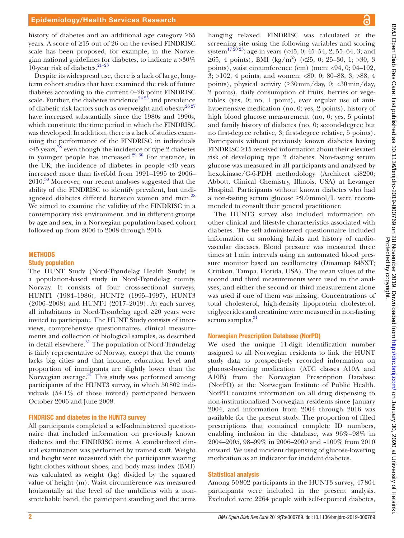history of diabetes and an additional age category ≥65 years. A score of ≥15 out of 26 on the revised FINDRISC scale has been proposed, for example, in the Norwegian national guidelines for diabetes, to indicate a >30% 10-year risk of diabetes.<sup>21-23</sup>

Despite its widespread use, there is a lack of large, longterm cohort studies that have examined the risk of future diabetes according to the current 0–26 point FINDRISC scale. Further, the diabetes incidence<sup>24 25</sup> and prevalence of diabetic risk factors such as overweight and obesity $26\frac{27}{27}$ have increased substantially since the 1980s and 1990s, which constitute the time period in which the FINDRISC was developed. In addition, there is a lack of studies examining the performance of the FINDRISC in individuals  $\leq$  45 years,<sup>28</sup> even though the incidence of type 2 diabetes in younger people has increased.<sup>29 30</sup> For instance, in the UK, the incidence of diabetes in people <40 years increased more than fivefold from 1991–1995 to 2006– 2010.<sup>30</sup> Moreover, our recent analyses suggested that the ability of the FINDRISC to identify prevalent, but undiagnosed diabetes differed between women and men.<sup>28</sup> We aimed to examine the validity of the FINDRISC in a contemporary risk environment, and in different groups by age and sex, in a Norwegian population-based cohort followed up from 2006 to 2008 through 2016.

#### **METHODS**

#### Study population

The HUNT Study (Nord-Trøndelag Health Study) is a population-based study in Nord-Trøndelag county, Norway. It consists of four cross-sectional surveys, HUNT1 (1984–1986), HUNT2 (1995–1997), HUNT3 (2006–2008) and HUNT4 (2017–2019). At each survey, all inhabitants in Nord-Trøndelag aged ≥20 years were invited to participate. The HUNT Study consists of interviews, comprehensive questionnaires, clinical measurements and collection of biological samples, as described in detail elsewhere.<sup>31</sup> The population of Nord-Trøndelag is fairly representative of Norway, except that the county lacks big cities and that income, education level and proportion of immigrants are slightly lower than the Norwegian average. $31$  This study was performed among participants of the HUNT3 survey, in which 50802 individuals (54.1% of those invited) participated between October 2006 and June 2008.

#### FINDRISC and diabetes in the HUNT3 survey

All participants completed a self-administered questionnaire that included information on previously known diabetes and the FINDRISC items. A standardized clinical examination was performed by trained staff. Weight and height were measured with the participants wearing light clothes without shoes, and body mass index (BMI) was calculated as weight (kg) divided by the squared value of height (m). Waist circumference was measured horizontally at the level of the umbilicus with a nonstretchable band, the participant standing and the arms

hanging relaxed. FINDRISC was calculated at the screening site using the following variables and scoring system<sup>17 20</sup> <sup>23</sup>: age in years (<45, 0; 45–54, 2; 55–64, 3; and  $\geq 65$ , 4 points), BMI (kg/m<sup>2</sup>) (<25, 0; 25–30, 1; >30, 3 points), waist circumference (cm) (men: <94, 0; 94–102, 3; >102, 4 points, and women: <80, 0; 80–88, 3; >88, 4 points), physical activity  $(230 \text{min/day}, 0; \langle 30 \text{min/day}, 0)$ 2 points), daily consumption of fruits, berries or vegetables (yes, 0; no, 1 point), ever regular use of antihypertensive medication (no, 0; yes, 2 points), history of high blood glucose measurement (no, 0; yes, 5 points) and family history of diabetes (no, 0; second-degree but no first-degree relative, 3; first-degree relative, 5 points). Participants without previously known diabetes having FINDRISC ≥15 received information about their elevated risk of developing type 2 diabetes. Non-fasting serum glucose was measured in all participants and analyzed by hexokinase/G-6-PDH methodology (Architect ci8200; Abbott, Clinical Chemistry, Illinois, USA) at Levanger Hospital. Participants without known diabetes who had a non-fasting serum glucose ≥9.0mmol/L were recommended to consult their general practitioner.

The HUNT3 survey also included information on other clinical and lifestyle characteristics associated with diabetes. The self-administered questionnaire included information on smoking habits and history of cardiovascular diseases. Blood pressure was measured three times at 1min intervals using an automated blood pressure monitor based on oscillometry (Dinamap 845XT; Critikon, Tampa, Florida, USA). The mean values of the second and third measurements were used in the analyses, and either the second or third measurement alone was used if one of them was missing. Concentrations of total cholesterol, high-density lipoprotein cholesterol, triglycerides and creatinine were measured in non-fasting serum samples.<sup>31</sup>

#### Norwegian Prescription Database (NorPD)

We used the unique 11-digit identification number assigned to all Norwegian residents to link the HUNT study data to prospectively recorded information on glucose-lowering medication (ATC classes A10A and A10B) from the Norwegian Prescription Database (NorPD) at the Norwegian Institute of Public Health. NorPD contains information on all drug dispensing to non-institutionalized Norwegian residents since January 2004, and information from 2004 through 2016 was available for the present study. The proportion of filled prescriptions that contained complete ID numbers, enabling inclusion in the database, was 96%–98% in 2004–2005, 98–99% in 2006–2009 and ~100% from 2010 onward. We used incident dispensing of glucose-lowering medication as an indicator for incident diabetes.

#### Statistical analysis

Among 50802 participants in the HUNT3 survey, 47804 participants were included in the present analysis. Excluded were 2264 people with self-reported diabetes,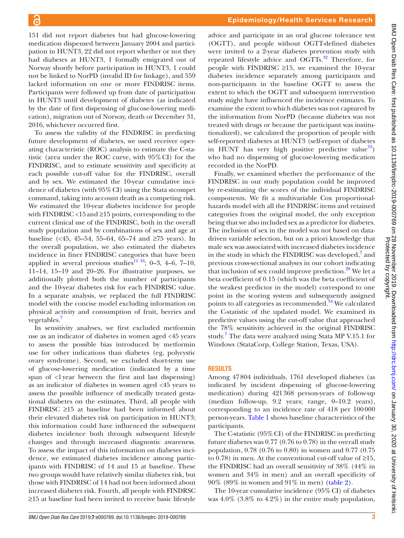151 did not report diabetes but had glucose-lowering medication dispensed between January 2004 and participation in HUNT3, 22 did not report whether or not they had diabetes at HUNT3, 1 formally emigrated out of Norway shortly before participation in HUNT3, 1 could not be linked to NorPD (invalid ID for linkage), and 559 lacked information on one or more FINDRISC items. Participants were followed up from date of participation in HUNT3 until development of diabetes (as indicated by the date of first dispensing of glucose-lowering medication), migration out of Norway, death or December 31, 2016, whichever occurred first.

To assess the validity of the FINDRISC in predicting future development of diabetes, we used receiver operating characteristic (ROC) analysis to estimate the C-statistic (area under the ROC curve, with 95%CI) for the FINDRISC, and to estimate sensitivity and specificity at each possible cut-off value for the FINDRISC, overall and by sex. We estimated the 10-year cumulative incidence of diabetes (with 95%CI) using the Stata stcompet command, taking into account death as a competing risk. We estimated the 10-year diabetes incidence for people with FINDRISC <15and ≥15 points, corresponding to the current clinical use of the FINDRISC, both in the overall study population and by combinations of sex and age at baseline (<45, 45–54, 55–64, 65–74 and ≥75 years). In the overall population, we also estimated the diabetes incidence in finer FINDRISC categories that have been applied in several previous studies<sup>11 16</sup>; 0–3, 4–6, 7–10, 11–14, 15–19 and 20–26. For illustrative purposes, we additionally plotted both the number of participants and the 10-year diabetes risk for each FINDRISC value. In a separate analysis, we replaced the full FINDRISC model with the concise model excluding information on physical activity and consumption of fruit, berries and vegetables.<sup>7</sup>

In sensitivity analyses, we first excluded metformin use as an indicator of diabetes in women aged <45 years to assess the possible bias introduced by metformin use for other indications than diabetes (eg, polycystic ovary syndrome). Second, we excluded short-term use of glucose-lowering medication (indicated by a time span of <1year between the first and last dispensing) as an indicator of diabetes in women aged <45 years to assess the possible influence of medically treated gestational diabetes on the estimates. Third, all people with FINDRISC ≥15 at baseline had been informed about their elevated diabetes risk on participation in HUNT3; this information could have influenced the subsequent diabetes incidence both through subsequent lifestyle changes and through increased diagnostic awareness. To assess the impact of this information on diabetes incidence, we estimated diabetes incidence among participants with FINDRISC of 14 and 15 at baseline. These two groups would have relatively similar diabetes risk, but those with FINDRISC of 14 had not been informed about increased diabetes risk. Fourth, all people with FINDRSC ≥15 at baseline had been invited to receive basic lifestyle

advice and participate in an oral glucose tolerance test (OGTT), and people without OGTT-defined diabetes were invited to a 2-year diabetes prevention study with repeated lifestyle advice and OGTTs.<sup>32</sup> Therefore, for people with FINDRISC  $\geq$ 15, we examined the 10-year diabetes incidence separately among participants and non-participants in the baseline OGTT to assess the extent to which the OGTT and subsequent intervention study might have influenced the incidence estimates. To examine the extent to which diabetes was not captured by the information from NorPD (because diabetes was not treated with drugs or because the participant was institutionalized), we calculated the proportion of people with self-reported diabetes at HUNT3 (self-report of diabetes in HUNT has very high positive predictive value<sup>33</sup>) who had no dispensing of glucose-lowering medication recorded in the NorPD.

Finally, we examined whether the performance of the FINDRISC in our study population could be improved by re-estimating the scores of the individual FINDRISC components. We fit a multivariable Cox proportionalhazards model with all the FINDRISC items and retained categories from the original model, the only exception being that we also included sex as a predictor for diabetes. The inclusion of sex in the model was not based on datadriven variable selection, but on a priori knowledge that male sex was associated with increased diabetes incidence in the study in which the FINDRISC was developed, $7$  and previous cross-sectional analyses in our cohort indicating that inclusion of sex could improve prediction.<sup>28</sup> We let a beta coefficient of 0.15 (which was the beta coefficient of the weakest predictor in the model) correspond to one point in the scoring system and subsequently assigned points to all categories as recommended.<sup>34</sup> We calculated the C-statistic of the updated model. We examined its predictive values using the cut-off value that approached the 78% sensitivity achieved in the original FINDRISC study. 7 The data were analyzed using Stata MP V.15.1 for Windows (StataCorp, College Station, Texas, USA).

## Results

Among 47804 individuals, 1761 developed diabetes (as indicated by incident dispensing of glucose-lowering medication) during 421368 person-years of follow-up (median follow-up, 9.2 years; range, 0–10.2 years), corresponding to an incidence rate of 418 per 100000 person-years. Table 1 shows baseline characteristics of the participants.

The C-statistic (95%CI) of the FINDRISC in predicting future diabetes was 0.77 (0.76 to 0.78) in the overall study population, 0.78 (0.76 to 0.80) in women and 0.77 (0.75 to 0.78) in men. At the conventional cut-off value of  $\geq 15$ , the FINDRISC had an overall sensitivity of 38% (44% in women and 34% in men) and an overall specificity of 90% (89% in women and 91% in men) (table 2).

The 10-year cumulative incidence  $(95\% \text{ CI})$  of diabetes was 4.0% (3.8% to 4.2%) in the entire study population,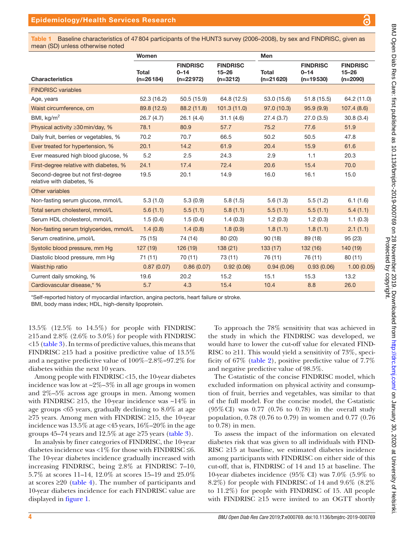a

Table 1 Baseline characteristics of 47804 participants of the HUNT3 survey (2006–2008), by sex and FINDRISC, given as mean (SD) unless otherwise noted

| Women                                                           |                             |                                            |                                            | Men                         |                                            |                                            |
|-----------------------------------------------------------------|-----------------------------|--------------------------------------------|--------------------------------------------|-----------------------------|--------------------------------------------|--------------------------------------------|
| <b>Characteristics</b>                                          | <b>Total</b><br>$(n=26184)$ | <b>FINDRISC</b><br>$0 - 14$<br>$(n=22972)$ | <b>FINDRISC</b><br>$15 - 26$<br>$(n=3212)$ | <b>Total</b><br>$(n=21620)$ | <b>FINDRISC</b><br>$0 - 14$<br>$(n=19530)$ | <b>FINDRISC</b><br>$15 - 26$<br>$(n=2090)$ |
| <b>FINDRISC variables</b>                                       |                             |                                            |                                            |                             |                                            |                                            |
| Age, years                                                      | 52.3(16.2)                  | 50.5(15.9)                                 | 64.8 (12.5)                                | 53.0 (15.6)                 | 51.8(15.5)                                 | 64.2 (11.0)                                |
| Waist circumference, cm                                         | 89.8 (12.5)                 | 88.2 (11.8)                                | 101.3(11.0)                                | 97.0 (10.3)                 | 95.9(9.9)                                  | 107.4(8.6)                                 |
| BMI, $kg/m2$                                                    | 26.7(4.7)                   | 26.1(4.4)                                  | 31.1(4.6)                                  | 27.4(3.7)                   | 27.0(3.5)                                  | 30.8(3.4)                                  |
| Physical activity ≥30 min/day, %                                | 78.1                        | 80.9                                       | 57.7                                       | 75.2                        | 77.6                                       | 51.9                                       |
| Daily fruit, berries or vegetables, %                           | 70.2                        | 70.7                                       | 66.5                                       | 50.2                        | 50.5                                       | 47.8                                       |
| Ever treated for hypertension, %                                | 20.1                        | 14.2                                       | 61.9                                       | 20.4                        | 15.9                                       | 61.6                                       |
| Ever measured high blood glucose, %                             | 5.2                         | 2.5                                        | 24.3                                       | 2.9                         | 1.1                                        | 20.3                                       |
| First-degree relative with diabetes, %                          | 24.1                        | 17.4                                       | 72.4                                       | 20.6                        | 15.4                                       | 70.0                                       |
| Second-degree but not first-degree<br>relative with diabetes, % | 19.5                        | 20.1                                       | 14.9                                       | 16.0                        | 16.1                                       | 15.0                                       |
| Other variables                                                 |                             |                                            |                                            |                             |                                            |                                            |
| Non-fasting serum glucose, mmol/L                               | 5.3(1.0)                    | 5.3(0.9)                                   | 5.8(1.5)                                   | 5.6(1.3)                    | 5.5(1.2)                                   | 6.1(1.6)                                   |
| Total serum cholesterol, mmol/L                                 | 5.6(1.1)                    | 5.5(1.1)                                   | 5.8(1.1)                                   | 5.5(1.1)                    | 5.5(1.1)                                   | 5.4(1.1)                                   |
| Serum HDL cholesterol, mmol/L                                   | 1.5(0.4)                    | 1.5(0.4)                                   | 1.4(0.3)                                   | 1.2(0.3)                    | 1.2(0.3)                                   | 1.1(0.3)                                   |
| Non-fasting serum triglycerides, mmol/L                         | 1.4(0.8)                    | 1.4(0.8)                                   | 1.8(0.9)                                   | 1.8(1.1)                    | 1.8(1.1)                                   | 2.1(1.1)                                   |
| Serum creatinine, umol/L                                        | 75 (15)                     | 74 (14)                                    | 80 (20)                                    | 90(18)                      | 89 (18)                                    | 95(23)                                     |
| Systolic blood pressure, mm Hg                                  | 127(19)                     | 126(19)                                    | 138(21)                                    | 133(17)                     | 132 (16)                                   | 140 (19)                                   |
| Diastolic blood pressure, mm Hq                                 | 71(11)                      | 70 (11)                                    | 73 (11)                                    | 76 (11)                     | 76 (11)                                    | 80(11)                                     |
| Waist:hip ratio                                                 | 0.87(0.07)                  | 0.86(0.07)                                 | 0.92(0.06)                                 | 0.94(0.06)                  | 0.93(0.06)                                 | 1.00(0.05)                                 |
| Current daily smoking, %                                        | 19.6                        | 20.2                                       | 15.2                                       | 15.1                        | 15.3                                       | 13.2                                       |
| Cardiovascular disease,* %                                      | 5.7                         | 4.3                                        | 15.4                                       | 10.4                        | 8.8                                        | 26.0                                       |

\*Self-reported history of myocardial infarction, angina pectoris, heart failure or stroke.

BMI, body mass index; HDL, high-density lipoprotein.

13.5% (12.5% to 14.5%) for people with FINDRISC ≥15 and 2.8% (2.6% to 3.0%) for people with FINDRISC <15 (table 3). In terms of predictive values, this means that FINDRISC ≥15 had a positive predictive value of 13.5% and a negative predictive value of 100%−2.8%=97.2% for diabetes within the next 10 years.

Among people with FINDRISC <15, the 10-year diabetes incidence was low at  $\sim 2\% - 3\%$  in all age groups in women and 2%–5% across age groups in men. Among women with FINDRISC  $\geq$ 15, the 10-year incidence was ~14% in age groups <65 years, gradually declining to 8.0% at age  $≥75$  years. Among men with FINDRISC  $≥15$ , the 10-year incidence was 13.5% at age <45 years, 16%–20% in the age groups 45–74 years and 12.5% at age  $\geq$ 75 years (table 3).

In analysis by finer categories of FINDRISC, the 10-year diabetes incidence was <1% for those with FINDRISC  $\leq 6$ . The 10-year diabetes incidence gradually increased with increasing FINDRISC, being 2.8% at FINDRISC 7–10, 5.7% at scores 11–14, 12.0% at scores 15–19 and 25.0% at scores  $\geq 20$  (table 4). The number of participants and 10-year diabetes incidence for each FINDRISC value are displayed in figure 1.

To approach the 78% sensitivity that was achieved in the study in which the FINDRISC was developed, we would have to lower the cut-off value for elevated FIND-RISC to  $\geq$ 11. This would yield a sensitivity of 73%, specificity of 67% (table 2), positive predictive value of 7.7% and negative predictive value of 98.5%.

The C-statistic of the concise FINDRISC model, which excluded information on physical activity and consumption of fruit, berries and vegetables, was similar to that of the full model. For the concise model, the C-statistic (95%CI) was 0.77 (0.76 to 0.78) in the overall study population, 0.78 (0.76 to 0.79) in women and 0.77 (0.76 to 0.78) in men.

To assess the impact of the information on elevated diabetes risk that was given to all individuals with FIND-RISC ≥15 at baseline, we estimated diabetes incidence among participants with FINDRISC on either side of this cut-off, that is, FINDRISC of 14 and 15 at baseline. The 10-year diabetes incidence (95% CI) was 7.0% (5.9% to 8.2%) for people with FINDRISC of 14 and 9.6% (8.2% to 11.2%) for people with FINDRISC of 15. All people with FINDRISC  $\geq$ 15 were invited to an OGTT shortly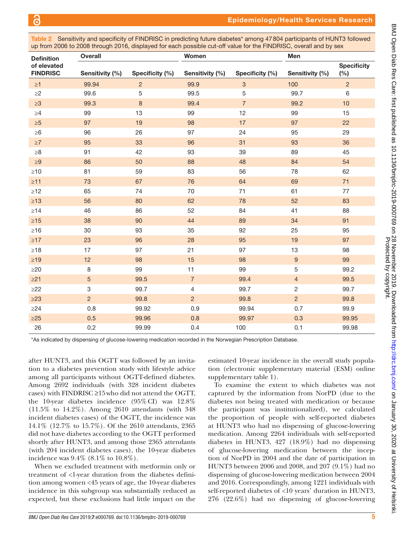Table 2 Sensitivity and specificity of FINDRISC in predicting future diabetes\* among 47804 participants of HUNT3 followed up from 2006 to 2008 through 2016, displayed for each possible cut-off value for the FINDRISC, overall and by sex

| <b>Definition</b>              | <b>Overall</b>            |                 | Women           |                 | Men              |                           |
|--------------------------------|---------------------------|-----------------|-----------------|-----------------|------------------|---------------------------|
| of elevated<br><b>FINDRISC</b> | Sensitivity (%)           | Specificity (%) | Sensitivity (%) | Specificity (%) | Sensitivity (%)  | <b>Specificity</b><br>(%) |
| $\geq 1$                       | 99.94                     | $\overline{c}$  | 99.9            | $\mathbf{3}$    | 100              | $\overline{2}$            |
| $\geq$ 2                       | 99.6                      | 5               | 99.5            | $\mathbf 5$     | 99.7             | $\,6\,$                   |
| $\geq 3$                       | 99.3                      | $\bf 8$         | 99.4            | $\sqrt{7}$      | 99.2             | 10                        |
| $\geq 4$                       | 99                        | 13              | 99              | 12              | 99               | 15                        |
| $\geq 5$                       | 97                        | 19              | 98              | 17              | 97               | 22                        |
| $\geq 6$                       | 96                        | 26              | 97              | 24              | 95               | 29                        |
| $\geq 7$                       | 95                        | 33              | 96              | 31              | 93               | 36                        |
| $\geq 8$                       | 91                        | 42              | 93              | 39              | 89               | 45                        |
| $\geq 9$                       | 86                        | 50              | 88              | 48              | 84               | 54                        |
| $\geq 10$                      | 81                        | 59              | 83              | 56              | 78               | 62                        |
| $\geq 11$                      | 73                        | 67              | 76              | 64              | 69               | 71                        |
| $\geq 12$                      | 65                        | 74              | 70              | 71              | 61               | 77                        |
| $\geq 13$                      | 56                        | 80              | 62              | 78              | 52               | 83                        |
| $\geq$ 14                      | 46                        | 86              | 52              | 84              | 41               | 88                        |
| $\geq 15$                      | 38                        | 90              | 44              | 89              | 34               | 91                        |
| $\geq 16$                      | $30\,$                    | 93              | 35              | 92              | 25               | 95                        |
| $\geq$ 17                      | 23                        | 96              | 28              | 95              | 19               | 97                        |
| $\geq 18$                      | 17                        | 97              | 21              | 97              | 13               | 98                        |
| $\geq$ 19                      | 12                        | 98              | 15              | 98              | $\boldsymbol{9}$ | 99                        |
| $\geq$ 20                      | $\,8\,$                   | 99              | 11              | 99              | 5                | 99.2                      |
| $\geq$ 21                      | $\overline{5}$            | 99.5            | $\overline{7}$  | 99.4            | $\overline{4}$   | 99.5                      |
| $\geq$ 22                      | $\ensuremath{\mathsf{3}}$ | 99.7            | 4               | 99.7            | $\overline{c}$   | 99.7                      |
| $\geq$ 23                      | $\overline{2}$            | 99.8            | $\overline{2}$  | 99.8            | $\overline{2}$   | 99.8                      |
| $\geq$ 24                      | 0.8                       | 99.92           | 0.9             | 99.94           | 0.7              | 99.9                      |
| $\geq$ 25                      | 0.5                       | 99.96           | 0.8             | 99.97           | 0.3              | 99.95                     |
| 26                             | 0.2                       | 99.99           | 0.4             | 100             | 0.1              | 99.98                     |

\*As indicated by dispensing of glucose-lowering medication recorded in the Norwegian Prescription Database.

after HUNT3, and this OGTT was followed by an invitation to a diabetes prevention study with lifestyle advice among all participants without OGTT-defined diabetes. Among 2692 individuals (with 328 incident diabetes cases) with FINDRISC ≥15who did not attend the OGTT, the 10-year diabetes incidence (95%CI) was 12.8% (11.5% to 14.2%). Among 2610 attendants (with 348 incident diabetes cases) of the OGTT, the incidence was 14.1% (12.7% to 15.7%). Of the 2610 attendants, 2365 did not have diabetes according to the OGTT performed shortly after HUNT3, and among those 2365 attendants (with 204 incident diabetes cases), the 10-year diabetes incidence was 9.4% (8.1% to 10.8%).

When we excluded treatment with metformin only or treatment of <1-year duration from the diabetes definition among women <45 years of age, the 10-year diabetes incidence in this subgroup was substantially reduced as expected, but these exclusions had little impact on the

estimated 10-year incidence in the overall study population (electronic supplementary material (ESM) [online](https://dx.doi.org/10.1136/bmjdrc-2019-000769) [supplementary table 1](https://dx.doi.org/10.1136/bmjdrc-2019-000769)).

To examine the extent to which diabetes was not captured by the information from NorPD (due to the diabetes not being treated with medication or because the participant was institutionalized), we calculated the proportion of people with self-reported diabetes at HUNT3 who had no dispensing of glucose-lowering medication. Among 2264 individuals with self-reported diabetes in HUNT3, 427 (18.9%) had no dispensing of glucose-lowering medication between the inception of NorPD in 2004 and the date of participation in HUNT3 between 2006 and 2008, and 207 (9.1%) had no dispensing of glucose-lowering medication between 2004 and 2016. Correspondingly, among 1221 individuals with self-reported diabetes of <10 years' duration in HUNT3, 276 (22.6%) had no dispensing of glucose-lowering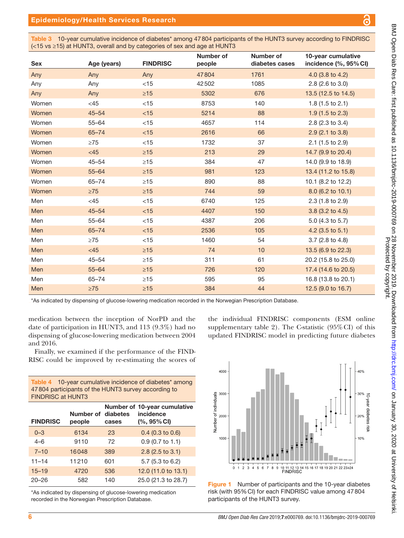Table 3 10-year cumulative incidence of diabetes<sup>\*</sup> among 47804 participants of the HUNT3 survey according to FINDRISC (<15 vs ≥15) at HUNT3, overall and by categories of sex and age at HUNT3

| <b>Sex</b> | Age (years) | <b>FINDRISC</b> | <b>Number of</b><br>people | Number of<br>diabetes cases | 10-year cumulative<br>incidence (%, 95% CI) |
|------------|-------------|-----------------|----------------------------|-----------------------------|---------------------------------------------|
| Any        | Any         | Any             | 47804                      | 1761                        | 4.0 (3.8 to 4.2)                            |
| Any        | Any         | $<$ 15          | 42502                      | 1085                        | 2.8 (2.6 to 3.0)                            |
| Any        | Any         | $\geq 15$       | 5302                       | 676                         | 13.5 (12.5 to 14.5)                         |
| Women      | $<45$       | $<15$           | 8753                       | 140                         | $1.8(1.5 \text{ to } 2.1)$                  |
| Women      | $45 - 54$   | < 15            | 5214                       | 88                          | $1.9(1.5 \text{ to } 2.3)$                  |
| Women      | $55 - 64$   | $<15$           | 4657                       | 114                         | 2.8 (2.3 to 3.4)                            |
| Women      | $65 - 74$   | $<15$           | 2616                       | 66                          | 2.9 (2.1 to 3.8)                            |
| Women      | $\geq 75$   | $<15$           | 1732                       | 37                          | 2.1 (1.5 to 2.9)                            |
| Women      | $<45$       | $\geq 15$       | 213                        | 29                          | 14.7 (9.9 to 20.4)                          |
| Women      | $45 - 54$   | $\geq 15$       | 384                        | 47                          | 14.0 (9.9 to 18.9)                          |
| Women      | $55 - 64$   | $\geq 15$       | 981                        | 123                         | 13.4 (11.2 to 15.8)                         |
| Women      | $65 - 74$   | $\geq 15$       | 890                        | 88                          | 10.1 (8.2 to 12.2)                          |
| Women      | $\geq 75$   | $\geq 15$       | 744                        | 59                          | 8.0 (6.2 to 10.1)                           |
| Men        | $<45$       | $<15$           | 6740                       | 125                         | 2.3 (1.8 to 2.9)                            |
| Men        | $45 - 54$   | $<15$           | 4407                       | 150                         | 3.8 (3.2 to 4.5)                            |
| Men        | $55 - 64$   | $<$ 15          | 4387                       | 206                         | 5.0 (4.3 to 5.7)                            |
| Men        | $65 - 74$   | $<15$           | 2536                       | 105                         | 4.2 (3.5 to 5.1)                            |
| Men        | $\geq$ 75   | $<15$           | 1460                       | 54                          | 3.7 (2.8 to 4.8)                            |
| Men        | $<45$       | $\geq 15$       | 74                         | 10                          | 13.5 (6.9 to 22.3)                          |
| Men        | $45 - 54$   | $\geq$ 15       | 311                        | 61                          | 20.2 (15.8 to 25.0)                         |
| Men        | $55 - 64$   | $\geq 15$       | 726                        | 120                         | 17.4 (14.6 to 20.5)                         |
| Men        | $65 - 74$   | $\geq$ 15       | 595                        | 95                          | 16.8 (13.8 to 20.1)                         |
| Men        | $\geq 75$   | $\geq 15$       | 384                        | 44                          | 12.5 (9.0 to 16.7)                          |

\*As indicated by dispensing of glucose-lowering medication recorded in the Norwegian Prescription Database.

medication between the inception of NorPD and the date of participation in HUNT3, and 113 (9.3%) had no dispensing of glucose-lowering medication between 2004 and 2016.

Finally, we examined if the performance of the FIND-RISC could be improved by re-estimating the scores of

| <b>Table 4</b> 10-year cumulative incidence of diabetes <sup>*</sup> among<br>47804 participants of the HUNT3 survey according to<br><b>FINDRISC at HUNT3</b> |                     |                   |                                                            |  |
|---------------------------------------------------------------------------------------------------------------------------------------------------------------|---------------------|-------------------|------------------------------------------------------------|--|
| <b>FINDRISC</b>                                                                                                                                               | Number of<br>people | diabetes<br>cases | Number of 10-year cumulative<br>incidence<br>$(% 95\%$ CI) |  |
| $0 - 3$                                                                                                                                                       | 6134                | 23                | $0.4$ (0.3 to 0.6)                                         |  |
| $4 - 6$                                                                                                                                                       | 9110                | 72                | $0.9(0.7 \text{ to } 1.1)$                                 |  |
| $7 - 10$                                                                                                                                                      | 16048               | 389               | $2.8$ (2.5 to 3.1)                                         |  |
| $11 - 14$                                                                                                                                                     | 11210               | 601               | 5.7 (5.3 to 6.2)                                           |  |
| $15 - 19$                                                                                                                                                     | 4720                | 536               | 12.0 (11.0 to 13.1)                                        |  |
| $20 - 26$                                                                                                                                                     | 582                 | 140               | 25.0 (21.3 to 28.7)                                        |  |

\*As indicated by dispensing of glucose-lowering medication recorded in the Norwegian Prescription Database.







႕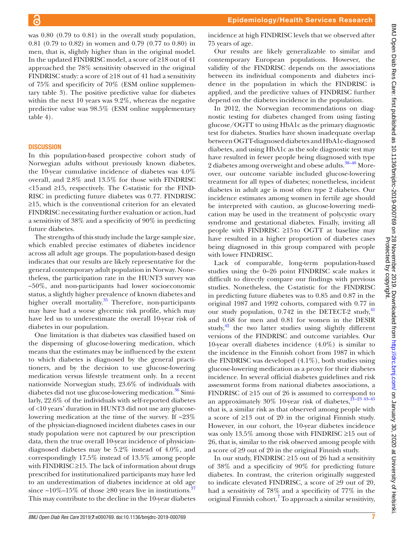was 0.80 (0.79 to 0.81) in the overall study population, 0.81 (0.79 to 0.82) in women and 0.79 (0.77 to 0.80) in men, that is, slightly higher than in the original model. In the updated FINDRISC model, a score of ≥18 out of 41 approached the 78% sensitivity observed in the original FINDRISC study: a score of ≥18 out of 41 had a sensitivity of 75% and specificity of 70% (ESM [online supplemen](https://dx.doi.org/10.1136/bmjdrc-2019-000769)[tary table 3\)](https://dx.doi.org/10.1136/bmjdrc-2019-000769). The positive predictive value for diabetes within the next 10 years was 9.2%, whereas the negative predictive value was 98.5% (ESM [online supplementary](https://dx.doi.org/10.1136/bmjdrc-2019-000769) [table 4](https://dx.doi.org/10.1136/bmjdrc-2019-000769)).

#### **DISCUSSION**

In this population-based prospective cohort study of Norwegian adults without previously known diabetes, the 10-year cumulative incidence of diabetes was 4.0% overall, and 2.8% and 13.5% for those with FINDRISC <15and ≥15, respectively. The C-statistic for the FIND-RISC in predicting future diabetes was 0.77. FINDRISC ≥15, which is the conventional criterion for an elevated FINDRISC necessitating further evaluation or action, had a sensitivity of 38% and a specificity of 90% in predicting future diabetes.

The strengths of this study include the large sample size, which enabled precise estimates of diabetes incidence across all adult age groups. The population-based design indicates that our results are likely representative for the general contemporary adult population in Norway. Nonetheless, the participation rate in the HUNT3 survey was ~50%, and non-participants had lower socioeconomic status, a slightly higher prevalence of known diabetes and higher overall mortality.<sup>35</sup> Therefore, non-participants may have had a worse glycemic risk profile, which may have led us to underestimate the overall 10-year risk of diabetes in our population.

One limitation is that diabetes was classified based on the dispensing of glucose-lowering medication, which means that the estimates may be influenced by the extent to which diabetes is diagnosed by the general practitioners, and by the decision to use glucose-lowering medication versus lifestyle treatment only. In a recent nationwide Norwegian study, 23.6% of individuals with diabetes did not use glucose-lowering medication.<sup>36</sup> Similarly, 22.6% of the individuals with self-reported diabetes of <10 years' duration in HUNT3 did not use any glucoselowering medication at the time of the survey. If ~23% of the physician-diagnosed incident diabetes cases in our study population were not captured by our prescription data, then the true overall 10-year incidence of physiciandiagnosed diabetes may be 5.2% instead of 4.0%, and correspondingly 17.5% instead of 13.5% among people with FINDRISC  $\geq$ 15. The lack of information about drugs prescribed for institutionalized participants may have led to an underestimation of diabetes incidence at old age since ~10%–15% of those  $\geq 80$  years live in institutions.<sup>37</sup> This may contribute to the decline in the 10-year diabetes

incidence at high FINDRISC levels that we observed after 75 years of age.

Our results are likely generalizable to similar and contemporary European populations. However, the validity of the FINDRISC depends on the associations between its individual components and diabetes incidence in the population in which the FINDRISC is applied, and the predictive values of FINDRISC further depend on the diabetes incidence in the population.

In 2012, the Norwegian recommendations on diagnostic testing for diabetes changed from using fasting glucose/OGTT to using HbA1c as the primary diagnostic test for diabetes. Studies have shown inadequate overlap between OGTT-diagnosed diabetes and HbA1c-diagnosed diabetes, and using HbA1c as the sole diagnostic test may have resulted in fewer people being diagnosed with type 2 diabetes among overweight and obese adults.<sup>38–40</sup> Moreover, our outcome variable included glucose-lowering treatment for all types of diabetes; nonetheless, incident diabetes in adult age is most often type 2 diabetes. Our incidence estimates among women in fertile age should be interpreted with caution, as glucose-lowering medication may be used in the treatment of polycystic ovary syndrome and gestational diabetes. Finally, inviting all people with FINDRISC ≥15to OGTT at baseline may have resulted in a higher proportion of diabetes cases being diagnosed in this group compared with people with lower FINDRISC.

Lack of comparable, long-term population-based studies using the 0–26 point FINDRISC scale makes it difficult to directly compare our findings with previous studies. Nonetheless, the C-statistic for the FINDRISC in predicting future diabetes was to 0.85 and 0.87 in the original 1987 and 1992 cohorts, compared with 0.77 in our study population,  $0.742$  in the DETECT-2 study,  $41$ and 0.68 for men and 0.81 for women in the DESIR study, $42$  the two latter studies using slightly different versions of the FINDRISC and outcome variables. Our 10-year overall diabetes incidence (4.0%) is similar to the incidence in the Finnish cohort from 1987 in which the FINDRISC was developed  $(4.1\%)$ , both studies using glucose-lowering medication as a proxy for their diabetes incidence. In several official diabetes guidelines and risk assessment forms from national diabetes associations, a FINDRISC of ≥15 out of 26 is assumed to correspond to an approximately 30% 10-year risk of diabetes,  $21-23$  43-45 that is, a similar risk as that observed among people with a score of ≥13 out of 20 in the original Finnish study. However, in our cohort, the 10-year diabetes incidence was only 13.5% among those with FINDRISC ≥15 out of 26, that is, similar to the risk observed among people with a score of ≥9 out of 20 in the original Finnish study.

In our study, FINDRISC ≥15 out of 26 had a sensitivity of 38% and a specificity of 90% for predicting future diabetes. In contrast, the criterion originally suggested to indicate elevated FINDRISC, a score of ≥9 out of 20, had a sensitivity of 78% and a specificity of 77% in the original Finnish cohort.<sup>7</sup> To approach a similar sensitivity,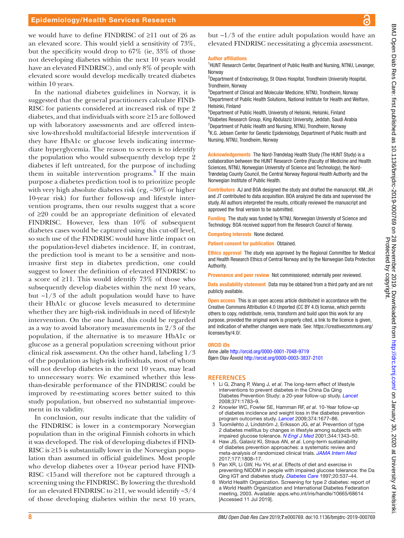### Epidemiology/Health Services Research

we would have to define FINDRISC of ≥11 out of 26 as an elevated score. This would yield a sensitivity of 73%, but the specificity would drop to 67% (ie, 33% of those not developing diabetes within the next 10 years would have an elevated FINDRISC), and only 8% of people with elevated score would develop medically treated diabetes within 10 years.

In the national diabetes guidelines in Norway, it is suggested that the general practitioners calculate FIND-RISC for patients considered at increased risk of type 2 diabetes, and that individuals with score ≥15 are followed up with laboratory assessments and are offered intensive low-threshold multifactorial lifestyle intervention if they have HbA1c or glucose levels indicating intermediate hyperglycemia. The reason to screen is to identify the population who would subsequently develop type 2 diabetes if left untreated, for the purpose of including them in suitable intervention programs. $6$  If the main purpose a diabetes prediction tool is to prioritize people with very high absolute diabetes risk (eg,  $\approx 30\%$  or higher 10-year risk) for further follow-up and lifestyle intervention programs, then our results suggest that a score of ≥20 could be an appropriate definition of elevated FINDRISC. However, less than 10% of subsequent diabetes cases would be captured using this cut-off level, so such use of the FINDRISC would have little impact on the population-level diabetes incidence. If, in contrast, the prediction tool is meant to be a sensitive and noninvasive first step in diabetes prediction, one could suggest to lower the definition of elevated FINDRISC to a score of ≥11. This would identify 73% of those who subsequently develop diabetes within the next 10 years, but  $\sim$ 1/3 of the adult population would have to have their HbA1c or glucose levels measured to determine whether they are high-risk individuals in need of lifestyle intervention. On the one hand, this could be regarded as a way to avoid laboratory measurements in 2/3 of the population, if the alternative is to measure HbA1c or glucose as a general population screening without prior clinical risk assessment. On the other hand, labeling 1/3 of the population as high-risk individuals, most of whom will not develop diabetes in the next 10 years, may lead to unnecessary worry. We examined whether this lessthan-desirable performance of the FINDRISC could be improved by re-estimating scores better suited to this study population, but observed no substantial improvement in its validity.

In conclusion, our results indicate that the validity of the FINDRISC is lower in a contemporary Norwegian population than in the original Finnish cohorts in which it was developed. The risk of developing diabetes if FIND-RISC is ≥15 is substantially lower in the Norwegian population than assumed in official guidelines. Most people who develop diabetes over a 10-year period have FIND-RISC <15and will therefore not be captured through a screening using the FINDRISC. By lowering the threshold for an elevated FINDRISC to  $\geq$ 11, we would identify ~3/4 of those developing diabetes within the next 10 years,

but  $\sim$ 1/3 of the entire adult population would have an elevated FINDRISC necessitating a glycemia assessment.

#### Author affiliations

<sup>1</sup>HUNT Research Center, Department of Public Health and Nursing, NTNU, Levanger, Norway

<sup>2</sup>Department of Endocrinology, St Olavs Hospital, Trondheim University Hospital, Trondheim, Norway

3 Department of Clinical and Molecular Medicine, NTNU, Trondheim, Norway 4 Department of Public Health Solutions, National Institute for Health and Welfare, Helsinki, Finland

5 Department of Public Health, University of Helsinki, Helsinki, Finland 6 Diabetes Research Group, King Abdulaziz University, Jeddah, Saudi Arabia <sup>7</sup>Department of Public Health and Nursing, NTNU, Trondheim, Norway <sup>8</sup>K.G. Jebsen Center for Genetic Epidemiology, Department of Public Health and Nursing, NTNU, Trondheim, Norway

Acknowledgements The Nord-Trøndelag Health Study (The HUNT Study) is a collaboration between the HUNT Research Centre (Faculty of Medicine and Health Sciences, NTNU, Norwegian University of Science and Technology), the Nord-Trøndelag County Council, the Central Norway Regional Health Authority and the Norwegian Institute of Public Health.

Contributors AJ and BOA designed the study and drafted the manuscript. KM, JH and JT contributed to data acquisition. BOA analyzed the data and supervised the study. All authors interpreted the results, critically reviewed the manuscript and approved the final version to be submitted.

Funding The study was funded by NTNU, Norwegian University of Science and Technology. BOA received support from the Research Council of Norway.

Competing interests None declared.

Patient consent for publication Obtained.

Ethics approval The study was approved by the Regional Committee for Medical and Health Research Ethics of Central Norway and by the Norwegian Data Protection **Authority** 

Provenance and peer review Not commissioned; externally peer reviewed.

Data availability statement Data may be obtained from a third party and are not publicly available.

**Open access** This is an open access article distributed in accordance with the Creative Commons Attribution 4.0 Unported (CC BY 4.0) license, which permits others to copy, redistribute, remix, transform and build upon this work for any purpose, provided the original work is properly cited, a link to the licence is given, and indication of whether changes were made. See: [https://creativecommons.org/](https://creativecommons.org/licenses/by/4.0/) [licenses/by/4.0/](https://creativecommons.org/licenses/by/4.0/).

#### ORCID iDs

Anne Jølle<http://orcid.org/0000-0001-7048-9719> Bjørn Olav Åsvold<http://orcid.org/0000-0003-3837-2101>

#### **References**

- 1 Li G, Zhang P, Wang J, *et al*. The long-term effect of lifestyle interventions to prevent diabetes in the China Da Qing Diabetes Prevention Study: a 20-year follow-up study. *[Lancet](http://dx.doi.org/10.1016/S0140-6736(08)60766-7)* 2008;371:1783–9.
- 2 Knowler WC, Fowler SE, Hamman RF, *et al*. 10-Year follow-up of diabetes incidence and weight loss in the diabetes prevention program outcomes study. *[Lancet](http://dx.doi.org/10.1016/S0140-6736(09)61457-4)* 2009;374:1677–86.
- 3 Tuomilehto J, Lindström J, Eriksson JG, *et al*. Prevention of type 2 diabetes mellitus by changes in lifestyle among subjects with impaired glucose tolerance. *[N Engl J Med](http://dx.doi.org/10.1056/NEJM200105033441801)* 2001;344:1343–50.
- 4 Haw JS, Galaviz KI, Straus AN, *et al*. Long-term sustainability of diabetes prevention approaches: a systematic review and meta-analysis of randomized clinical trials. *[JAMA Intern Med](http://dx.doi.org/10.1001/jamainternmed.2017.6040)* 2017;177:1808–17.
- 5 Pan XR, Li GW, Hu YH, *et al*. Effects of diet and exercise in preventing NIDDM in people with impaired glucose tolerance: the Da Qing IGT and diabetes study. *[Diabetes Care](http://dx.doi.org/10.2337/diacare.20.4.537)* 1997;20:537–44.
- 6 World Health Organization. Screening for type 2 diabetes: report of a World Health Organization and International Diabetes Federation meeting, 2003. Available: <apps.who.int/iris/handle/10665/68614> [Accessed 11 Jul 2019].